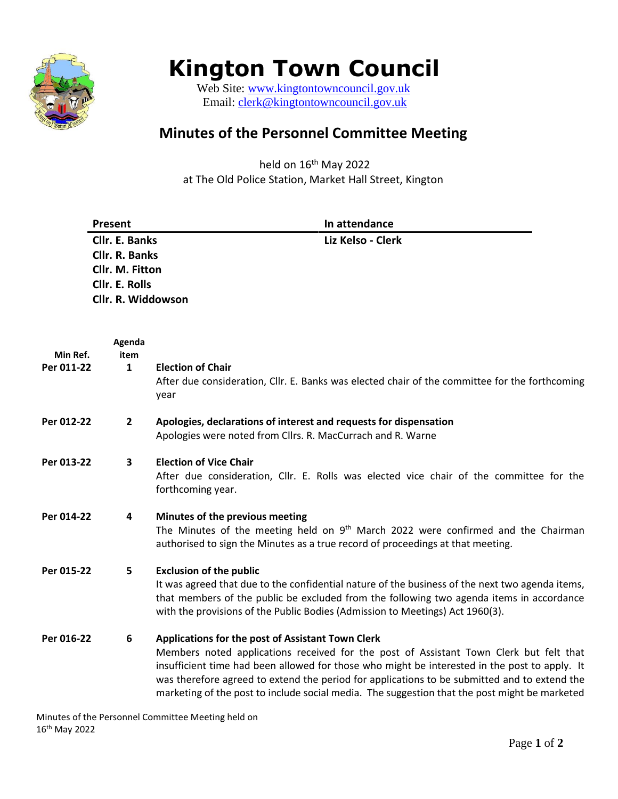

## **Kington Town Council**

Web Site: [www.kingtontowncouncil.gov.uk](http://www.kingtontowncouncil.gov.uk/) Email: [clerk@kingtontowncouncil.gov.uk](mailto:clerk@kingtontowncouncil.gov.uk)

## **Minutes of the Personnel Committee Meeting**

held on 16<sup>th</sup> May 2022 at The Old Police Station, Market Hall Street, Kington

|                        | Present                                  | In attendance                                                                                                                                                                                                                                                                                                                                                                                                                                 |
|------------------------|------------------------------------------|-----------------------------------------------------------------------------------------------------------------------------------------------------------------------------------------------------------------------------------------------------------------------------------------------------------------------------------------------------------------------------------------------------------------------------------------------|
|                        | Cllr. E. Banks                           | Liz Kelso - Clerk                                                                                                                                                                                                                                                                                                                                                                                                                             |
|                        | Cllr. R. Banks                           |                                                                                                                                                                                                                                                                                                                                                                                                                                               |
|                        | Cllr. M. Fitton<br><b>Cllr. E. Rolls</b> |                                                                                                                                                                                                                                                                                                                                                                                                                                               |
|                        | Cllr. R. Widdowson                       |                                                                                                                                                                                                                                                                                                                                                                                                                                               |
|                        |                                          |                                                                                                                                                                                                                                                                                                                                                                                                                                               |
|                        | Agenda                                   |                                                                                                                                                                                                                                                                                                                                                                                                                                               |
| Min Ref.<br>Per 011-22 | item<br>$\mathbf{1}$                     | <b>Election of Chair</b>                                                                                                                                                                                                                                                                                                                                                                                                                      |
|                        |                                          | After due consideration, Cllr. E. Banks was elected chair of the committee for the forthcoming<br>year                                                                                                                                                                                                                                                                                                                                        |
| Per 012-22             | $\mathbf{2}$                             | Apologies, declarations of interest and requests for dispensation<br>Apologies were noted from Cllrs. R. MacCurrach and R. Warne                                                                                                                                                                                                                                                                                                              |
| Per 013-22             | 3                                        | <b>Election of Vice Chair</b><br>After due consideration, Cllr. E. Rolls was elected vice chair of the committee for the<br>forthcoming year.                                                                                                                                                                                                                                                                                                 |
| Per 014-22             | 4                                        | Minutes of the previous meeting<br>The Minutes of the meeting held on 9 <sup>th</sup> March 2022 were confirmed and the Chairman<br>authorised to sign the Minutes as a true record of proceedings at that meeting.                                                                                                                                                                                                                           |
| Per 015-22             | 5                                        | <b>Exclusion of the public</b><br>It was agreed that due to the confidential nature of the business of the next two agenda items,<br>that members of the public be excluded from the following two agenda items in accordance<br>with the provisions of the Public Bodies (Admission to Meetings) Act 1960(3).                                                                                                                                |
| Per 016-22             | 6                                        | Applications for the post of Assistant Town Clerk<br>Members noted applications received for the post of Assistant Town Clerk but felt that<br>insufficient time had been allowed for those who might be interested in the post to apply. It<br>was therefore agreed to extend the period for applications to be submitted and to extend the<br>marketing of the post to include social media. The suggestion that the post might be marketed |

Minutes of the Personnel Committee Meeting held on 16th May 2022